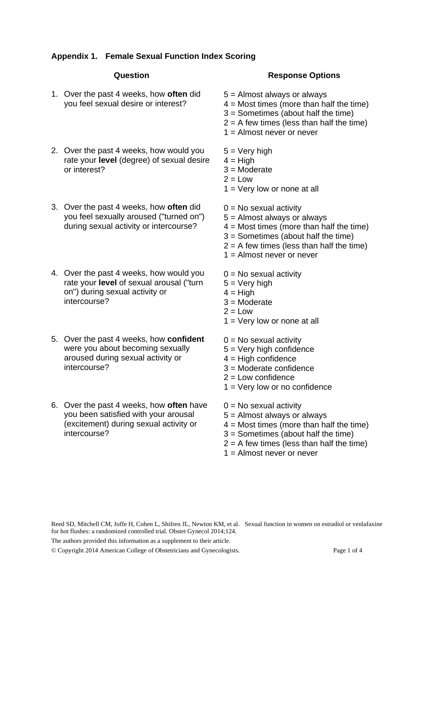## **Appendix 1. Female Sexual Function Index Scoring**

## **Question**

- 1. Over the past 4 weeks, how **often** did you feel sexual desire or interest?
- 2. Over the past 4 weeks, how would you rate your **level** (degree) of sexual desire or interest?
- 3. Over the past 4 weeks, how **often** did you feel sexually aroused ("turned on") during sexual activity or intercourse?
- 4. Over the past 4 weeks, how would you rate your **level** of sexual arousal ("turn on") during sexual activity or intercourse?
- 5. Over the past 4 weeks, how **confident** were you about becoming sexually aroused during sexual activity or intercourse?
- 6. Over the past 4 weeks, how **often** have you been satisfied with your arousal (excitement) during sexual activity or intercourse?

## **Response Options**

- 5 = Almost always or always
- $4 =$  Most times (more than half the time)
- 3 = Sometimes (about half the time)
- $2 = A$  few times (less than half the time)
- $1 =$  Almost never or never
- $5 =$  Very high
- $4 =$ High
- 3 = Moderate
- $2 =$ Low
- $1 =$  Very low or none at all
- $0 = No$  sexual activity
- 5 = Almost always or always
- $4 =$  Most times (more than half the time)
- 3 = Sometimes (about half the time)
- $2 = A$  few times (less than half the time)
- 1 = Almost never or never
- $0 = No$  sexual activity
- $5 = V$ ery high
- $4 = High$
- 3 = Moderate
- $2 = Low$
- $1 =$  Very low or none at all
- $0 = No$  sexual activity
- 5 = Very high confidence
- $4 =$  High confidence
- 3 = Moderate confidence
- $2 =$  Low confidence
- $1 =$  Very low or no confidence
- $0 = No$  sexual activity
- 5 = Almost always or always
- $4 =$  Most times (more than half the time)
- 3 = Sometimes (about half the time)
- $2 = A$  few times (less than half the time)
- 1 = Almost never or never

Reed SD, Mitchell CM, Joffe H, Cohen L, Shifren JL, Newton KM, et al. Sexual function in women on estradiol or venlafaxine for hot flushes: a randomized controlled trial. Obstet Gynecol 2014;124.

The authors provided this information as a supplement to their article.

© Copyright 2014 American College of Obstetricians and Gynecologists. Page 1 of 4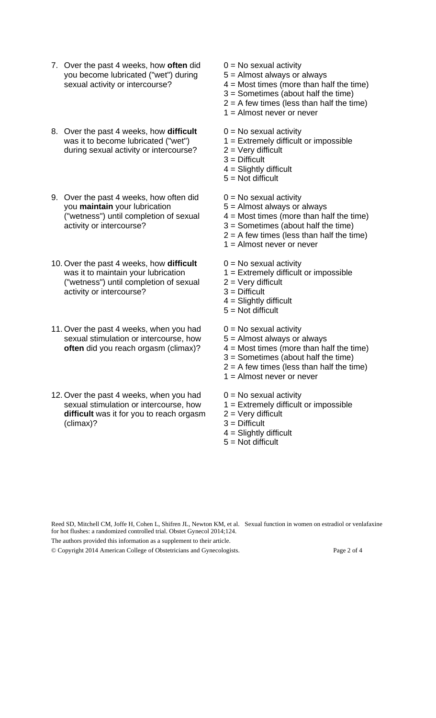- 7. Over the past 4 weeks, how **often** did you become lubricated ("wet") during sexual activity or intercourse?
- 8. Over the past 4 weeks, how **difficult**  was it to become lubricated ("wet") during sexual activity or intercourse?
- 9. Over the past 4 weeks, how often did you **maintain** your lubrication ("wetness") until completion of sexual activity or intercourse?
- 10. Over the past 4 weeks, how **difficult** was it to maintain your lubrication ("wetness") until completion of sexual activity or intercourse?
- 11. Over the past 4 weeks, when you had sexual stimulation or intercourse, how **often** did you reach orgasm (climax)?
- 12. Over the past 4 weeks, when you had sexual stimulation or intercourse, how **difficult** was it for you to reach orgasm (climax)?
- $0 = No$  sexual activity
- 5 = Almost always or always
- $4 =$  Most times (more than half the time)
- 3 = Sometimes (about half the time)
- $2 = A$  few times (less than half the time)
- 1 = Almost never or never
- $0 = No$  sexual activity
- 1 = Extremely difficult or impossible
- $2 =$  Very difficult
- 3 = Difficult
- $4 =$  Slightly difficult
- $5 = Not$  difficult
- $0 = No$  sexual activity
- 5 = Almost always or always
- $4 =$  Most times (more than half the time)
- 3 = Sometimes (about half the time)
- $2 = A$  few times (less than half the time)
- 1 = Almost never or never
- $0 = No$  sexual activity
- 1 = Extremely difficult or impossible
- $2 =$  Very difficult
- 3 = Difficult
- 4 = Slightly difficult
- $5 = Not$  difficult
- $0 = No$  sexual activity
- 5 = Almost always or always
- $4 =$  Most times (more than half the time)
- 3 = Sometimes (about half the time)
- $2 = A$  few times (less than half the time)
- 1 = Almost never or never
- $0 = No$  sexual activity
- $1 =$  Extremely difficult or impossible
- $2 =$  Very difficult
- 3 = Difficult
- $4 =$  Slightly difficult
- $5 = Not$  difficult

Reed SD, Mitchell CM, Joffe H, Cohen L, Shifren JL, Newton KM, et al. Sexual function in women on estradiol or venlafaxine for hot flushes: a randomized controlled trial. Obstet Gynecol 2014;124.

The authors provided this information as a supplement to their article.

© Copyright 2014 American College of Obstetricians and Gynecologists. Page 2 of 4

- 
-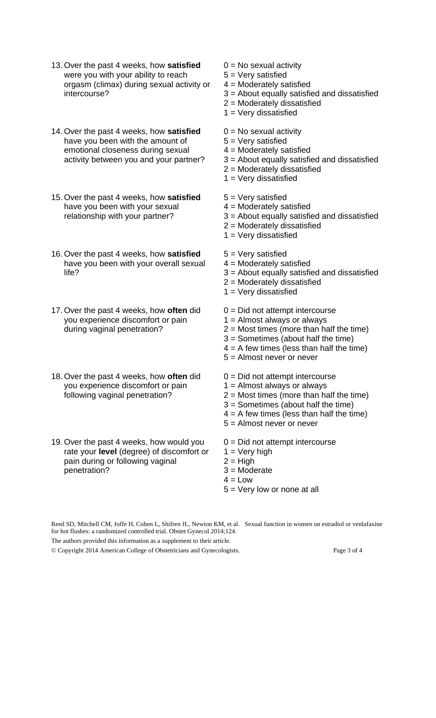- 13. Over the past 4 weeks, how **satisfied** were you with your ability to reach orgasm (climax) during sexual activity or intercourse?
- 14. Over the past 4 weeks, how **satisfied**  have you been with the amount of emotional closeness during sexual activity between you and your partner?
- 15. Over the past 4 weeks, how **satisfied**  have you been with your sexual relationship with your partner?
- 16. Over the past 4 weeks, how **satisfied**  have you been with your overall sexual life?
- 17. Over the past 4 weeks, how **often** did you experience discomfort or pain during vaginal penetration?
- 18. Over the past 4 weeks, how **often** did you experience discomfort or pain following vaginal penetration?
- 19. Over the past 4 weeks, how would you rate your **level** (degree) of discomfort or pain during or following vaginal penetration?
- $0 = No$  sexual activity 5 = Very satisfied 4 = Moderately satisfied 3 = About equally satisfied and dissatisfied 2 = Moderately dissatisfied  $1 =$  Very dissatisfied  $0 = No$  sexual activity 5 = Very satisfied 4 = Moderately satisfied 3 = About equally satisfied and dissatisfied 2 = Moderately dissatisfied  $1 =$  Very dissatisfied 5 = Very satisfied 4 = Moderately satisfied 3 = About equally satisfied and dissatisfied 2 = Moderately dissatisfied  $1 =$  Very dissatisfied 5 = Very satisfied 4 = Moderately satisfied 3 = About equally satisfied and dissatisfied 2 = Moderately dissatisfied  $1 =$  Very dissatisfied 0 = Did not attempt intercourse 1 = Almost always or always 2 = Most times (more than half the time) 3 = Sometimes (about half the time)  $4 = A$  few times (less than half the time) 5 = Almost never or never 0 = Did not attempt intercourse 1 = Almost always or always  $2 =$  Most times (more than half the time) 3 = Sometimes (about half the time)  $4 = A$  few times (less than half the time) 5 = Almost never or never 0 = Did not attempt intercourse  $1 =$  Very high  $2 = High$ 3 = Moderate
	- $4 = 1$  ow
	- 5 = Very low or none at all

Reed SD, Mitchell CM, Joffe H, Cohen L, Shifren JL, Newton KM, et al. Sexual function in women on estradiol or venlafaxine for hot flushes: a randomized controlled trial. Obstet Gynecol 2014;124.

The authors provided this information as a supplement to their article.

© Copyright 2014 American College of Obstetricians and Gynecologists. Page 3 of 4